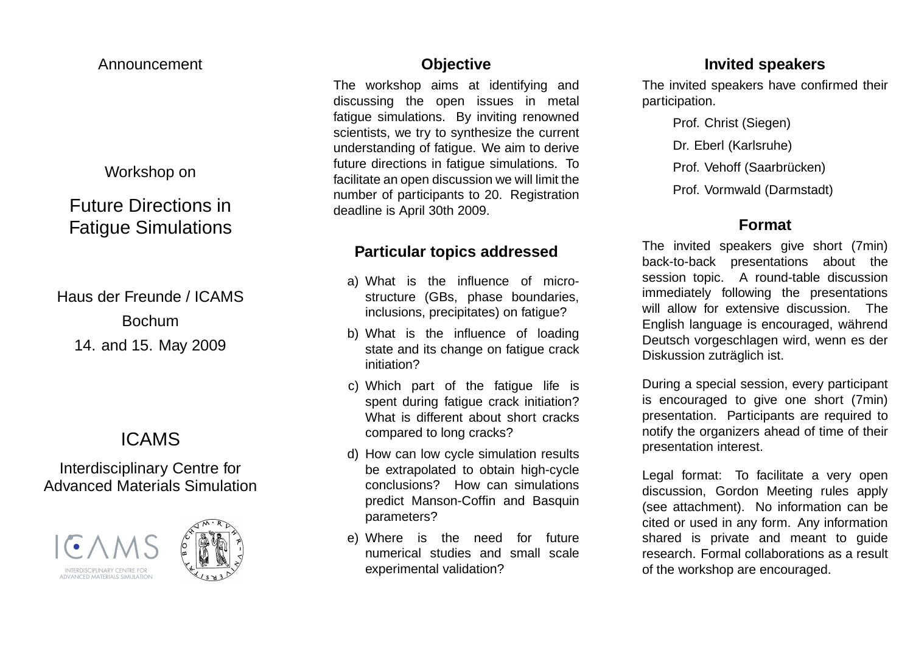#### Announcement

## Workshop on

# Future Directions inFatigue Simulations

Haus der Freunde / ICAMSBochum14. and 15. May 2009

# ICAMS

# Interdisciplinary Centre forAdvanced Materials Simulation





## **Objective**

 The workshop aims at identifying and discussing the open issues in metal fatigue simulations. By inviting renowned scientists, we try to synthesize the current understanding of fatigue. We aim to derive future directions in fatigue simulations. To facilitate an open discussion we will limit the number of participants to 20. Registrationdeadline is April 30th 2009.

# **Particular topics addressed**

- a) What is the influence of microstructure (GBs, phase boundaries, inclusions, precipitates) on fatigue?
- b) What is the influence of loading state and its change on fatigue crackinitiation?
- c) Which part of the fatigue life is spent during fatigue crack initiation? What is different about short crackscompared to long cracks?
- d) How can low cycle simulation results be extrapolated to obtain high-cycle conclusions? How can simulations predict Manson-Coffin and Basquinparameters?
- e) Where is the need for future numerical studies and small scaleexperimental validation?

#### **Invited speakers**

 The invited speakers have confirmed theirparticipation.

> Prof. Christ (Siegen)Dr. Eberl (Karlsruhe)Prof. Vehoff (Saarbrücken)

Prof. Vormwald (Darmstadt)

# **Format**

The invited speakers give short (7min)back-to-back presentations about the session topic. A round-table discussion immediately following the presentations will allow for extensive discussion. TheEnglish language is encouraged, während<br><sup>=</sup> Deutsch vorgeschlagen wird, wenn es derDiskussion zuträglich ist.

During <sup>a</sup> special session, every participant is encouraged to give one short (7min) presentation. Participants are required to notify the organizers ahead of time of theirpresentation interest.

Legal format: To facilitate <sup>a</sup> very open discussion, Gordon Meeting rules apply (see attachment). No information can be cited or used in any form. Any information shared is private and meant to guide research. Formal collaborations as <sup>a</sup> result of the workshop are encouraged.